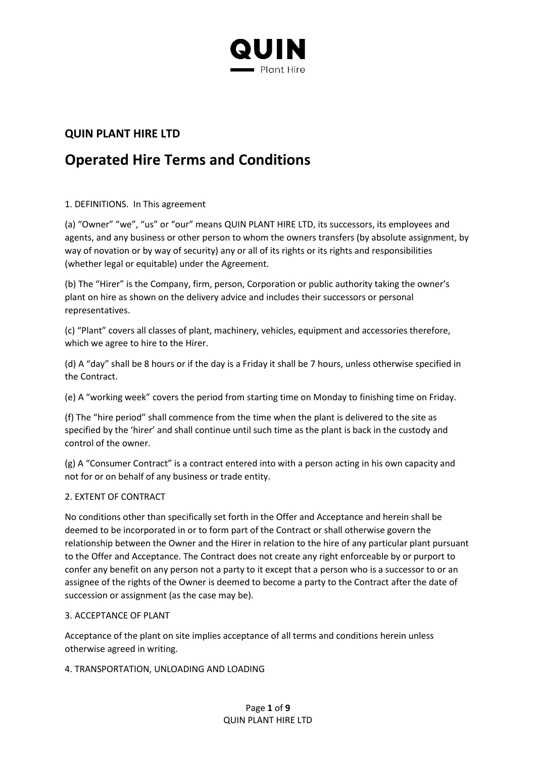

## **QUIN PLANT HIRE LTD**

# **Operated Hire Terms and Conditions**

## 1. DEFINITIONS. In This agreement

(a) "Owner" "we", "us" or "our" means QUIN PLANT HIRE LTD, its successors, its employees and agents, and any business or other person to whom the owners transfers (by absolute assignment, by way of novation or by way of security) any or all of its rights or its rights and responsibilities (whether legal or equitable) under the Agreement.

(b) The "Hirer" is the Company, firm, person, Corporation or public authority taking the owner's plant on hire as shown on the delivery advice and includes their successors or personal representatives.

(c) "Plant" covers all classes of plant, machinery, vehicles, equipment and accessories therefore, which we agree to hire to the Hirer.

(d) A "day" shall be 8 hours or if the day is a Friday it shall be 7 hours, unless otherwise specified in the Contract.

(e) A "working week" covers the period from starting time on Monday to finishing time on Friday.

(f) The "hire period" shall commence from the time when the plant is delivered to the site as specified by the 'hirer' and shall continue until such time as the plant is back in the custody and control of the owner.

(g) A "Consumer Contract" is a contract entered into with a person acting in his own capacity and not for or on behalf of any business or trade entity.

## 2. EXTENT OF CONTRACT

No conditions other than specifically set forth in the Offer and Acceptance and herein shall be deemed to be incorporated in or to form part of the Contract or shall otherwise govern the relationship between the Owner and the Hirer in relation to the hire of any particular plant pursuant to the Offer and Acceptance. The Contract does not create any right enforceable by or purport to confer any benefit on any person not a party to it except that a person who is a successor to or an assignee of the rights of the Owner is deemed to become a party to the Contract after the date of succession or assignment (as the case may be).

## 3. ACCEPTANCE OF PLANT

Acceptance of the plant on site implies acceptance of all terms and conditions herein unless otherwise agreed in writing.

## 4. TRANSPORTATION, UNLOADING AND LOADING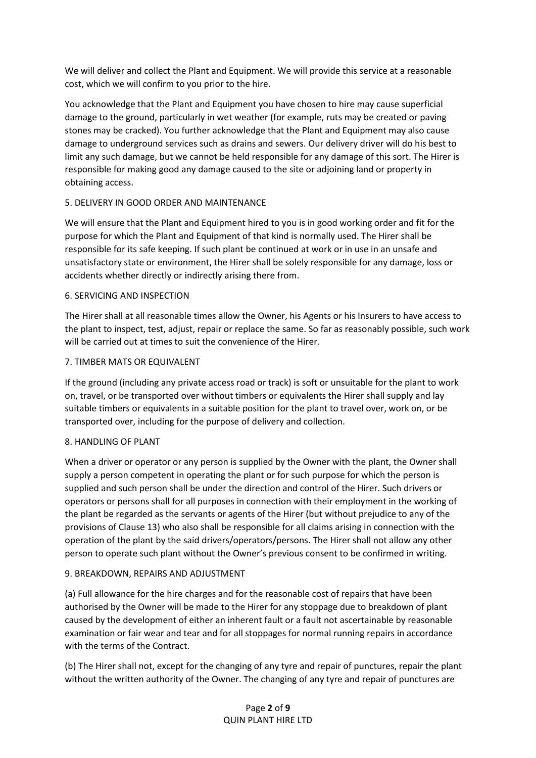We will deliver and collect the Plant and Equipment. We will provide this service at a reasonable cost, which we will confirm to you prior to the hire.

You acknowledge that the Plant and Equipment you have chosen to hire may cause superficial damage to the ground, particularly in wet weather (for example, ruts may be created or paving stones may be cracked). You further acknowledge that the Plant and Equipment may also cause damage to underground services such as drains and sewers. Our delivery driver will do his best to limit any such damage, but we cannot be held responsible for any damage of this sort. The Hirer is responsible for making good any damage caused to the site or adjoining land or property in obtaining access.

## 5. DELIVERY IN GOOD ORDER AND MAINTENANCE

We will ensure that the Plant and Equipment hired to you is in good working order and fit for the purpose for which the Plant and Equipment of that kind is normally used. The Hirer shall be responsible for its safe keeping. If such plant be continued at work or in use in an unsafe and unsatisfactory state or environment, the Hirer shall be solely responsible for any damage, loss or accidents whether directly or indirectly arising there from.

## 6. SERVICING AND INSPECTION

The Hirer shall at all reasonable times allow the Owner, his Agents or his Insurers to have access to the plant to inspect, test, adjust, repair or replace the same. So far as reasonably possible, such work will be carried out at times to suit the convenience of the Hirer.

#### 7. TIMBER MATS OR EQUIVALENT

If the ground (including any private access road or track) is soft or unsuitable for the plant to work on, travel, or be transported over without timbers or equivalents the Hirer shall supply and lay suitable timbers or equivalents in a suitable position for the plant to travel over, work on, or be transported over, including for the purpose of delivery and collection.

## 8. HANDLING OF PLANT

When a driver or operator or any person is supplied by the Owner with the plant, the Owner shall supply a person competent in operating the plant or for such purpose for which the person is supplied and such person shall be under the direction and control of the Hirer. Such drivers or operators or persons shall for all purposes in connection with their employment in the working of the plant be regarded as the servants or agents of the Hirer (but without prejudice to any of the provisions of Clause 13) who also shall be responsible for all claims arising in connection with the operation of the plant by the said drivers/operators/persons. The Hirer shall not allow any other person to operate such plant without the Owner's previous consent to be confirmed in writing.

## 9. BREAKDOWN, REPAIRS AND ADJUSTMENT

(a) Full allowance for the hire charges and for the reasonable cost of repairs that have been authorised by the Owner will be made to the Hirer for any stoppage due to breakdown of plant caused by the development of either an inherent fault or a fault not ascertainable by reasonable examination or fair wear and tear and for all stoppages for normal running repairs in accordance with the terms of the Contract.

(b) The Hirer shall not, except for the changing of any tyre and repair of punctures, repair the plant without the written authority of the Owner. The changing of any tyre and repair of punctures are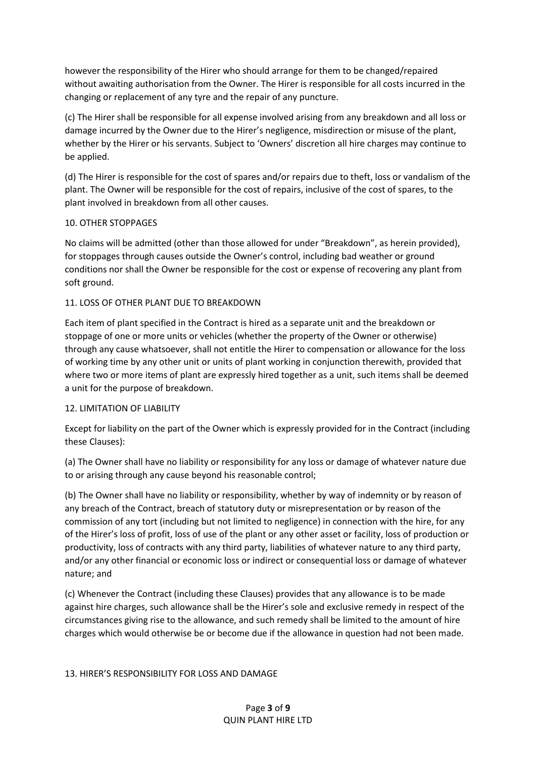however the responsibility of the Hirer who should arrange for them to be changed/repaired without awaiting authorisation from the Owner. The Hirer is responsible for all costs incurred in the changing or replacement of any tyre and the repair of any puncture.

(c) The Hirer shall be responsible for all expense involved arising from any breakdown and all loss or damage incurred by the Owner due to the Hirer's negligence, misdirection or misuse of the plant, whether by the Hirer or his servants. Subject to 'Owners' discretion all hire charges may continue to be applied.

(d) The Hirer is responsible for the cost of spares and/or repairs due to theft, loss or vandalism of the plant. The Owner will be responsible for the cost of repairs, inclusive of the cost of spares, to the plant involved in breakdown from all other causes.

#### 10. OTHER STOPPAGES

No claims will be admitted (other than those allowed for under "Breakdown", as herein provided), for stoppages through causes outside the Owner's control, including bad weather or ground conditions nor shall the Owner be responsible for the cost or expense of recovering any plant from soft ground.

## 11. LOSS OF OTHER PLANT DUE TO BREAKDOWN

Each item of plant specified in the Contract is hired as a separate unit and the breakdown or stoppage of one or more units or vehicles (whether the property of the Owner or otherwise) through any cause whatsoever, shall not entitle the Hirer to compensation or allowance for the loss of working time by any other unit or units of plant working in conjunction therewith, provided that where two or more items of plant are expressly hired together as a unit, such items shall be deemed a unit for the purpose of breakdown.

## 12. LIMITATION OF LIABILITY

Except for liability on the part of the Owner which is expressly provided for in the Contract (including these Clauses):

(a) The Owner shall have no liability or responsibility for any loss or damage of whatever nature due to or arising through any cause beyond his reasonable control;

(b) The Owner shall have no liability or responsibility, whether by way of indemnity or by reason of any breach of the Contract, breach of statutory duty or misrepresentation or by reason of the commission of any tort (including but not limited to negligence) in connection with the hire, for any of the Hirer's loss of profit, loss of use of the plant or any other asset or facility, loss of production or productivity, loss of contracts with any third party, liabilities of whatever nature to any third party, and/or any other financial or economic loss or indirect or consequential loss or damage of whatever nature; and

(c) Whenever the Contract (including these Clauses) provides that any allowance is to be made against hire charges, such allowance shall be the Hirer's sole and exclusive remedy in respect of the circumstances giving rise to the allowance, and such remedy shall be limited to the amount of hire charges which would otherwise be or become due if the allowance in question had not been made.

#### 13. HIRER'S RESPONSIBILITY FOR LOSS AND DAMAGE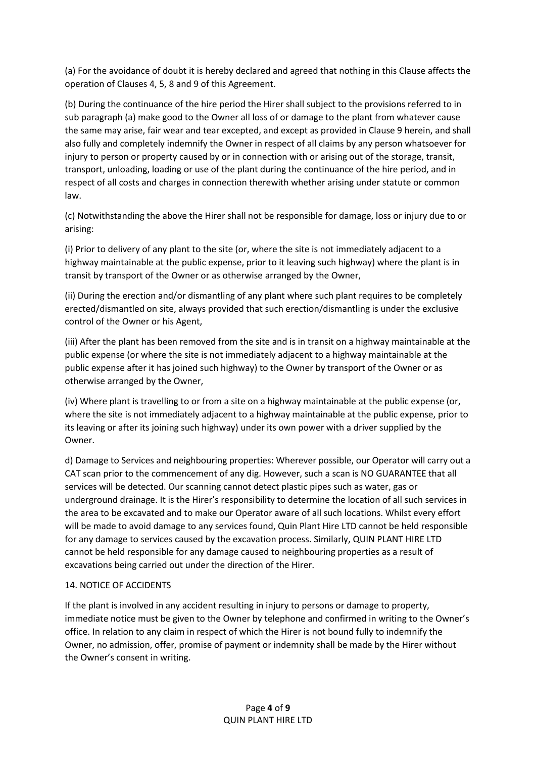(a) For the avoidance of doubt it is hereby declared and agreed that nothing in this Clause affects the operation of Clauses 4, 5, 8 and 9 of this Agreement.

(b) During the continuance of the hire period the Hirer shall subject to the provisions referred to in sub paragraph (a) make good to the Owner all loss of or damage to the plant from whatever cause the same may arise, fair wear and tear excepted, and except as provided in Clause 9 herein, and shall also fully and completely indemnify the Owner in respect of all claims by any person whatsoever for injury to person or property caused by or in connection with or arising out of the storage, transit, transport, unloading, loading or use of the plant during the continuance of the hire period, and in respect of all costs and charges in connection therewith whether arising under statute or common law.

(c) Notwithstanding the above the Hirer shall not be responsible for damage, loss or injury due to or arising:

(i) Prior to delivery of any plant to the site (or, where the site is not immediately adjacent to a highway maintainable at the public expense, prior to it leaving such highway) where the plant is in transit by transport of the Owner or as otherwise arranged by the Owner,

(ii) During the erection and/or dismantling of any plant where such plant requires to be completely erected/dismantled on site, always provided that such erection/dismantling is under the exclusive control of the Owner or his Agent,

(iii) After the plant has been removed from the site and is in transit on a highway maintainable at the public expense (or where the site is not immediately adjacent to a highway maintainable at the public expense after it has joined such highway) to the Owner by transport of the Owner or as otherwise arranged by the Owner,

(iv) Where plant is travelling to or from a site on a highway maintainable at the public expense (or, where the site is not immediately adjacent to a highway maintainable at the public expense, prior to its leaving or after its joining such highway) under its own power with a driver supplied by the Owner.

d) Damage to Services and neighbouring properties: Wherever possible, our Operator will carry out a CAT scan prior to the commencement of any dig. However, such a scan is NO GUARANTEE that all services will be detected. Our scanning cannot detect plastic pipes such as water, gas or underground drainage. It is the Hirer's responsibility to determine the location of all such services in the area to be excavated and to make our Operator aware of all such locations. Whilst every effort will be made to avoid damage to any services found, Quin Plant Hire LTD cannot be held responsible for any damage to services caused by the excavation process. Similarly, QUIN PLANT HIRE LTD cannot be held responsible for any damage caused to neighbouring properties as a result of excavations being carried out under the direction of the Hirer.

## 14. NOTICE OF ACCIDENTS

If the plant is involved in any accident resulting in injury to persons or damage to property, immediate notice must be given to the Owner by telephone and confirmed in writing to the Owner's office. In relation to any claim in respect of which the Hirer is not bound fully to indemnify the Owner, no admission, offer, promise of payment or indemnity shall be made by the Hirer without the Owner's consent in writing.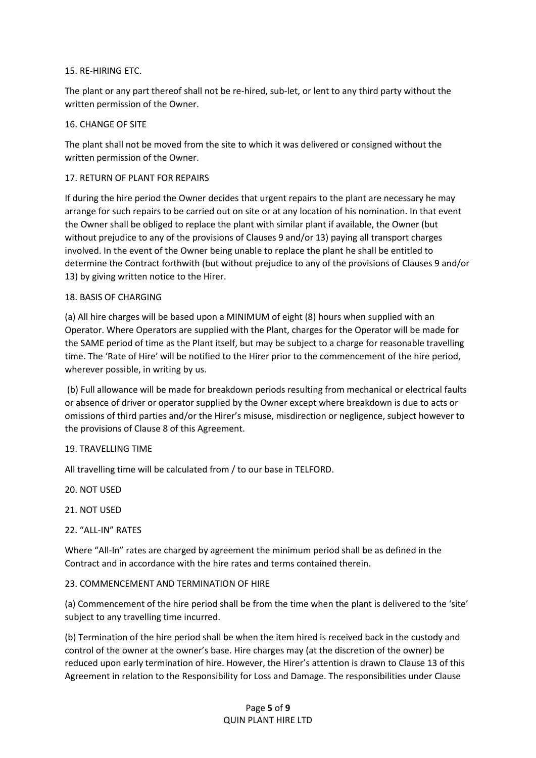#### 15. RE-HIRING ETC.

The plant or any part thereof shall not be re-hired, sub-let, or lent to any third party without the written permission of the Owner.

#### 16. CHANGE OF SITE

The plant shall not be moved from the site to which it was delivered or consigned without the written permission of the Owner.

#### 17. RETURN OF PLANT FOR REPAIRS

If during the hire period the Owner decides that urgent repairs to the plant are necessary he may arrange for such repairs to be carried out on site or at any location of his nomination. In that event the Owner shall be obliged to replace the plant with similar plant if available, the Owner (but without prejudice to any of the provisions of Clauses 9 and/or 13) paying all transport charges involved. In the event of the Owner being unable to replace the plant he shall be entitled to determine the Contract forthwith (but without prejudice to any of the provisions of Clauses 9 and/or 13) by giving written notice to the Hirer.

#### 18. BASIS OF CHARGING

(a) All hire charges will be based upon a MINIMUM of eight (8) hours when supplied with an Operator. Where Operators are supplied with the Plant, charges for the Operator will be made for the SAME period of time as the Plant itself, but may be subject to a charge for reasonable travelling time. The 'Rate of Hire' will be notified to the Hirer prior to the commencement of the hire period, wherever possible, in writing by us.

(b) Full allowance will be made for breakdown periods resulting from mechanical or electrical faults or absence of driver or operator supplied by the Owner except where breakdown is due to acts or omissions of third parties and/or the Hirer's misuse, misdirection or negligence, subject however to the provisions of Clause 8 of this Agreement.

#### 19. TRAVELLING TIME

All travelling time will be calculated from / to our base in TELFORD.

20. NOT USED

21. NOT USED

#### 22. "ALL-IN" RATES

Where "All-In" rates are charged by agreement the minimum period shall be as defined in the Contract and in accordance with the hire rates and terms contained therein.

#### 23. COMMENCEMENT AND TERMINATION OF HIRE

(a) Commencement of the hire period shall be from the time when the plant is delivered to the 'site' subject to any travelling time incurred.

(b) Termination of the hire period shall be when the item hired is received back in the custody and control of the owner at the owner's base. Hire charges may (at the discretion of the owner) be reduced upon early termination of hire. However, the Hirer's attention is drawn to Clause 13 of this Agreement in relation to the Responsibility for Loss and Damage. The responsibilities under Clause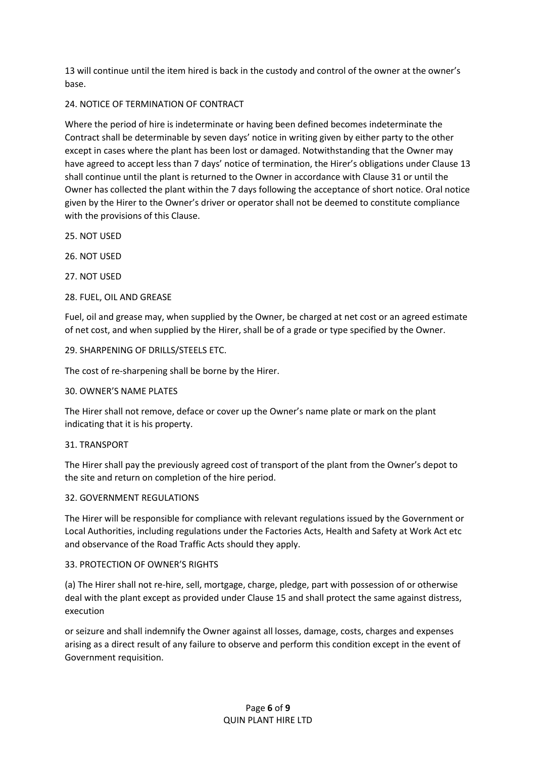13 will continue until the item hired is back in the custody and control of the owner at the owner's base.

## 24. NOTICE OF TERMINATION OF CONTRACT

Where the period of hire is indeterminate or having been defined becomes indeterminate the Contract shall be determinable by seven days' notice in writing given by either party to the other except in cases where the plant has been lost or damaged. Notwithstanding that the Owner may have agreed to accept less than 7 days' notice of termination, the Hirer's obligations under Clause 13 shall continue until the plant is returned to the Owner in accordance with Clause 31 or until the Owner has collected the plant within the 7 days following the acceptance of short notice. Oral notice given by the Hirer to the Owner's driver or operator shall not be deemed to constitute compliance with the provisions of this Clause.

25. NOT USED

26. NOT USED

27. NOT USED

28. FUEL, OIL AND GREASE

Fuel, oil and grease may, when supplied by the Owner, be charged at net cost or an agreed estimate of net cost, and when supplied by the Hirer, shall be of a grade or type specified by the Owner.

29. SHARPENING OF DRILLS/STEELS ETC.

The cost of re-sharpening shall be borne by the Hirer.

#### 30. OWNER'S NAME PLATES

The Hirer shall not remove, deface or cover up the Owner's name plate or mark on the plant indicating that it is his property.

#### 31. TRANSPORT

The Hirer shall pay the previously agreed cost of transport of the plant from the Owner's depot to the site and return on completion of the hire period.

#### 32. GOVERNMENT REGULATIONS

The Hirer will be responsible for compliance with relevant regulations issued by the Government or Local Authorities, including regulations under the Factories Acts, Health and Safety at Work Act etc and observance of the Road Traffic Acts should they apply.

#### 33. PROTECTION OF OWNER'S RIGHTS

(a) The Hirer shall not re-hire, sell, mortgage, charge, pledge, part with possession of or otherwise deal with the plant except as provided under Clause 15 and shall protect the same against distress, execution

or seizure and shall indemnify the Owner against all losses, damage, costs, charges and expenses arising as a direct result of any failure to observe and perform this condition except in the event of Government requisition.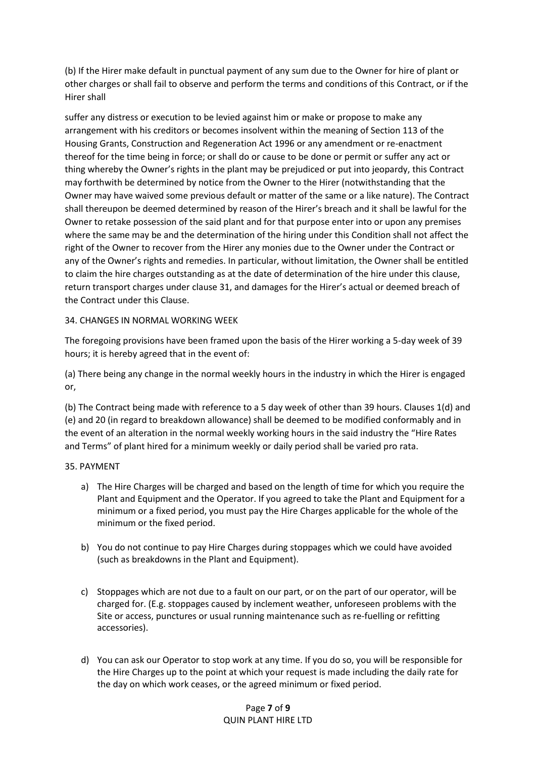(b) If the Hirer make default in punctual payment of any sum due to the Owner for hire of plant or other charges or shall fail to observe and perform the terms and conditions of this Contract, or if the Hirer shall

suffer any distress or execution to be levied against him or make or propose to make any arrangement with his creditors or becomes insolvent within the meaning of Section 113 of the Housing Grants, Construction and Regeneration Act 1996 or any amendment or re-enactment thereof for the time being in force; or shall do or cause to be done or permit or suffer any act or thing whereby the Owner's rights in the plant may be prejudiced or put into jeopardy, this Contract may forthwith be determined by notice from the Owner to the Hirer (notwithstanding that the Owner may have waived some previous default or matter of the same or a like nature). The Contract shall thereupon be deemed determined by reason of the Hirer's breach and it shall be lawful for the Owner to retake possession of the said plant and for that purpose enter into or upon any premises where the same may be and the determination of the hiring under this Condition shall not affect the right of the Owner to recover from the Hirer any monies due to the Owner under the Contract or any of the Owner's rights and remedies. In particular, without limitation, the Owner shall be entitled to claim the hire charges outstanding as at the date of determination of the hire under this clause, return transport charges under clause 31, and damages for the Hirer's actual or deemed breach of the Contract under this Clause.

#### 34. CHANGES IN NORMAL WORKING WEEK

The foregoing provisions have been framed upon the basis of the Hirer working a 5-day week of 39 hours; it is hereby agreed that in the event of:

(a) There being any change in the normal weekly hours in the industry in which the Hirer is engaged or,

(b) The Contract being made with reference to a 5 day week of other than 39 hours. Clauses 1(d) and (e) and 20 (in regard to breakdown allowance) shall be deemed to be modified conformably and in the event of an alteration in the normal weekly working hours in the said industry the "Hire Rates and Terms" of plant hired for a minimum weekly or daily period shall be varied pro rata.

#### 35. PAYMENT

- a) The Hire Charges will be charged and based on the length of time for which you require the Plant and Equipment and the Operator. If you agreed to take the Plant and Equipment for a minimum or a fixed period, you must pay the Hire Charges applicable for the whole of the minimum or the fixed period.
- b) You do not continue to pay Hire Charges during stoppages which we could have avoided (such as breakdowns in the Plant and Equipment).
- c) Stoppages which are not due to a fault on our part, or on the part of our operator, will be charged for. (E.g. stoppages caused by inclement weather, unforeseen problems with the Site or access, punctures or usual running maintenance such as re-fuelling or refitting accessories).
- d) You can ask our Operator to stop work at any time. If you do so, you will be responsible for the Hire Charges up to the point at which your request is made including the daily rate for the day on which work ceases, or the agreed minimum or fixed period.

#### Page **7** of **9** QUIN PLANT HIRE LTD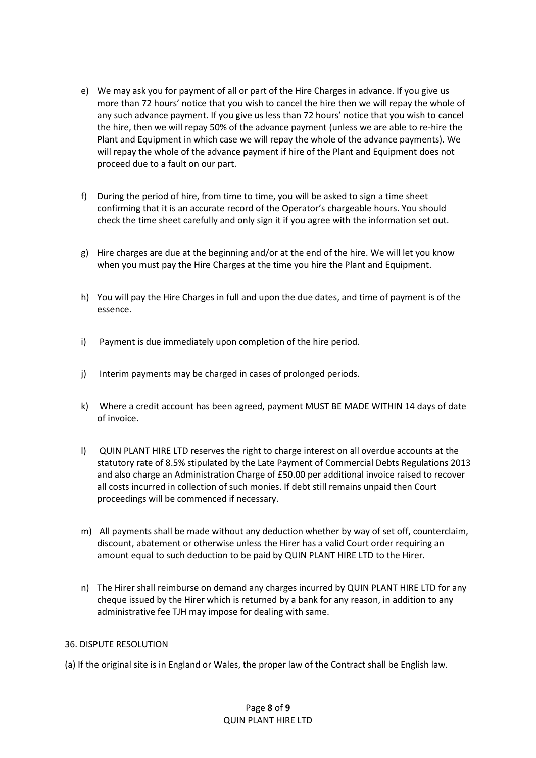- e) We may ask you for payment of all or part of the Hire Charges in advance. If you give us more than 72 hours' notice that you wish to cancel the hire then we will repay the whole of any such advance payment. If you give us less than 72 hours' notice that you wish to cancel the hire, then we will repay 50% of the advance payment (unless we are able to re-hire the Plant and Equipment in which case we will repay the whole of the advance payments). We will repay the whole of the advance payment if hire of the Plant and Equipment does not proceed due to a fault on our part.
- f) During the period of hire, from time to time, you will be asked to sign a time sheet confirming that it is an accurate record of the Operator's chargeable hours. You should check the time sheet carefully and only sign it if you agree with the information set out.
- g) Hire charges are due at the beginning and/or at the end of the hire. We will let you know when you must pay the Hire Charges at the time you hire the Plant and Equipment.
- h) You will pay the Hire Charges in full and upon the due dates, and time of payment is of the essence.
- i) Payment is due immediately upon completion of the hire period.
- j) Interim payments may be charged in cases of prolonged periods.
- k) Where a credit account has been agreed, payment MUST BE MADE WITHIN 14 days of date of invoice.
- l) QUIN PLANT HIRE LTD reserves the right to charge interest on all overdue accounts at the statutory rate of 8.5% stipulated by the Late Payment of Commercial Debts Regulations 2013 and also charge an Administration Charge of £50.00 per additional invoice raised to recover all costs incurred in collection of such monies. If debt still remains unpaid then Court proceedings will be commenced if necessary.
- m) All payments shall be made without any deduction whether by way of set off, counterclaim, discount, abatement or otherwise unless the Hirer has a valid Court order requiring an amount equal to such deduction to be paid by QUIN PLANT HIRE LTD to the Hirer.
- n) The Hirer shall reimburse on demand any charges incurred by QUIN PLANT HIRE LTD for any cheque issued by the Hirer which is returned by a bank for any reason, in addition to any administrative fee TJH may impose for dealing with same.

#### 36. DISPUTE RESOLUTION

(a) If the original site is in England or Wales, the proper law of the Contract shall be English law.